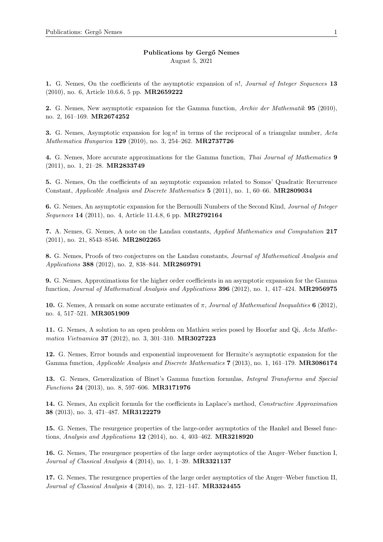August 5, 2021

1. G. Nemes, On the coefficients of the asymptotic expansion of n!, Journal of Integer Sequences 13 (2010), no. 6, Article 10.6.6, 5 pp. MR2659222

2. G. Nemes, New asymptotic expansion for the Gamma function, Archiv der Mathematik 95 (2010), no. 2, 161–169. MR2674252

**3.** G. Nemes, Asymptotic expansion for  $\log n!$  in terms of the reciprocal of a triangular number, Acta Mathematica Hungarica 129 (2010), no. 3, 254–262. MR2737726

4. G. Nemes, More accurate approximations for the Gamma function, Thai Journal of Mathematics 9 (2011), no. 1, 21–28. MR2833749

5. G. Nemes, On the coefficients of an asymptotic expansion related to Somos' Quadratic Recurrence Constant, Applicable Analysis and Discrete Mathematics 5 (2011), no. 1, 60–66. MR2809034

6. G. Nemes, An asymptotic expansion for the Bernoulli Numbers of the Second Kind, Journal of Integer Sequences 14 (2011), no. 4, Article 11.4.8, 6 pp. MR2792164

7. A. Nemes, G. Nemes, A note on the Landau constants, Applied Mathematics and Computation 217 (2011), no. 21, 8543–8546. MR2802265

8. G. Nemes, Proofs of two conjectures on the Landau constants, Journal of Mathematical Analysis and Applications 388 (2012), no. 2, 838–844. MR2869791

9. G. Nemes, Approximations for the higher order coefficients in an asymptotic expansion for the Gamma function, Journal of Mathematical Analysis and Applications 396 (2012), no. 1, 417–424. MR2956975

10. G. Nemes, A remark on some accurate estimates of  $\pi$ , Journal of Mathematical Inequalities 6 (2012), no. 4, 517–521. MR3051909

11. G. Nemes, A solution to an open problem on Mathieu series posed by Hoorfar and Qi, Acta Mathematica Vietnamica 37 (2012), no. 3, 301–310. MR3027223

12. G. Nemes, Error bounds and exponential improvement for Hermite's asymptotic expansion for the Gamma function, *Applicable Analysis and Discrete Mathematics* 7 (2013), no. 1, 161–179. **MR3086174** 

13. G. Nemes, Generalization of Binet's Gamma function formulas, Integral Transforms and Special Functions 24 (2013), no. 8, 597–606. MR3171976

14. G. Nemes, An explicit formula for the coefficients in Laplace's method, Constructive Approximation 38 (2013), no. 3, 471–487. MR3122279

15. G. Nemes, The resurgence properties of the large-order asymptotics of the Hankel and Bessel functions, Analysis and Applications  $12$  (2014), no. 4, 403-462. MR3218920

16. G. Nemes, The resurgence properties of the large order asymptotics of the Anger–Weber function I, Journal of Classical Analysis 4 (2014), no. 1, 1-39. MR3321137

17. G. Nemes, The resurgence properties of the large order asymptotics of the Anger–Weber function II, Journal of Classical Analysis 4 (2014), no. 2, 121–147. MR3324455